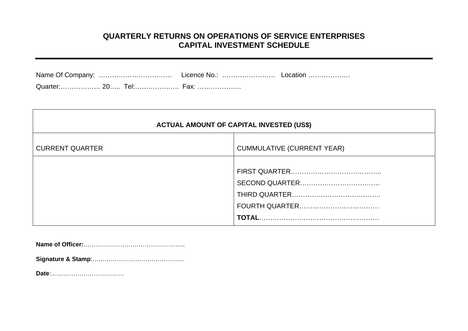# **QUARTERLY RETURNS ON OPERATIONS OF SERVICE ENTERPRISES CAPITAL INVESTMENT SCHEDULE**

| Quarter: 20 Tel: Fax: |  |  |
|-----------------------|--|--|

| <b>ACTUAL AMOUNT OF CAPITAL INVESTED (US\$)</b> |                                   |  |
|-------------------------------------------------|-----------------------------------|--|
| <b>CURRENT QUARTER</b>                          | <b>CUMMULATIVE (CURRENT YEAR)</b> |  |
|                                                 |                                   |  |

**Name of Officer:**…………………………………………..

**Signature & Stamp**:………………………………………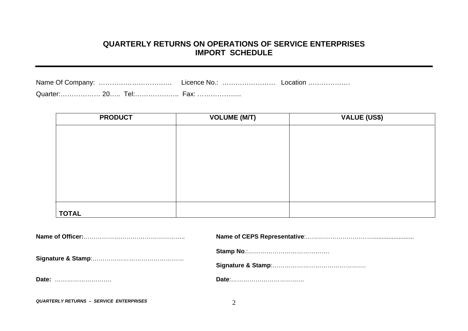#### **QUARTERLY RETURNS ON OPERATIONS OF SERVICE ENTERPRISES IMPORT SCHEDULE**

| Name Of Company: | Licence No. | LOCAtion |
|------------------|-------------|----------|
|                  |             |          |

| <b>PRODUCT</b> | <b>VOLUME (M/T)</b> | <b>VALUE (US\$)</b> |
|----------------|---------------------|---------------------|
|                |                     |                     |
|                |                     |                     |
|                |                     |                     |
|                |                     |                     |
|                |                     |                     |
|                |                     |                     |
|                |                     |                     |
| <b>TOTAL</b>   |                     |                     |

| Date: |  |
|-------|--|
|       |  |

*QUARTERLY RETURNS – SERVICE ENTERPRISES* 2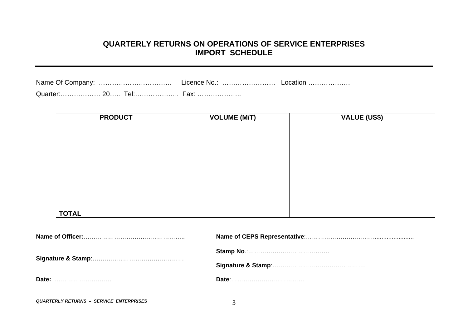#### **QUARTERLY RETURNS ON OPERATIONS OF SERVICE ENTERPRISES IMPORT SCHEDULE**

| Name Of Company: | Licence No. | ∟ocation ……………… |
|------------------|-------------|-----------------|
|                  | -nv         |                 |

| <b>PRODUCT</b> | <b>VOLUME (M/T)</b> | <b>VALUE (US\$)</b> |
|----------------|---------------------|---------------------|
|                |                     |                     |
|                |                     |                     |
|                |                     |                     |
|                |                     |                     |
|                |                     |                     |
|                |                     |                     |
|                |                     |                     |
| <b>TOTAL</b>   |                     |                     |

| Date: |  |
|-------|--|
|       |  |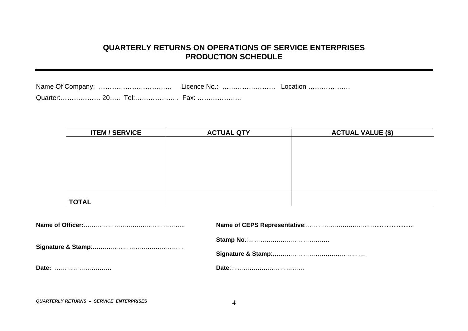# **QUARTERLY RETURNS ON OPERATIONS OF SERVICE ENTERPRISES PRODUCTION SCHEDULE**

|  |  | Licence No.:  Location |                      |  |
|--|--|------------------------|----------------------|--|
|  |  |                        | Quarter 20 Tel: Fax: |  |

| <b>ITEM / SERVICE</b> | <b>ACTUAL QTY</b> | <b>ACTUAL VALUE (\$)</b> |
|-----------------------|-------------------|--------------------------|
|                       |                   |                          |
|                       |                   |                          |
|                       |                   |                          |
|                       |                   |                          |
|                       |                   |                          |
|                       |                   |                          |
|                       |                   |                          |
| <b>TOTAL</b>          |                   |                          |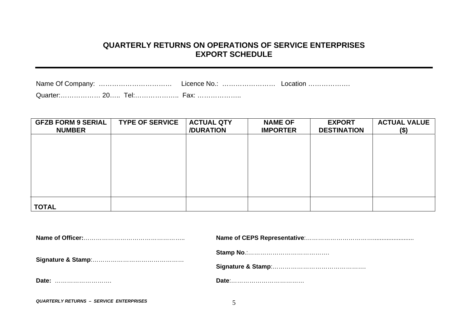#### **QUARTERLY RETURNS ON OPERATIONS OF SERVICE ENTERPRISES EXPORT SCHEDULE**

|  |  | Licence No.: | Location |  |
|--|--|--------------|----------|--|
|  |  |              |          |  |

| <b>GFZB FORM 9 SERIAL</b><br><b>NUMBER</b> | <b>TYPE OF SERVICE</b> | <b>ACTUAL QTY</b><br>/DURATION | <b>NAME OF</b><br><b>IMPORTER</b> | <b>EXPORT</b><br><b>DESTINATION</b> | <b>ACTUAL VALUE</b><br>$($ \$) |
|--------------------------------------------|------------------------|--------------------------------|-----------------------------------|-------------------------------------|--------------------------------|
|                                            |                        |                                |                                   |                                     |                                |
|                                            |                        |                                |                                   |                                     |                                |
|                                            |                        |                                |                                   |                                     |                                |
|                                            |                        |                                |                                   |                                     |                                |
| <b>TOTAL</b>                               |                        |                                |                                   |                                     |                                |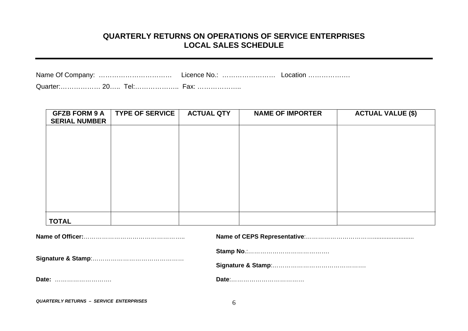## **QUARTERLY RETURNS ON OPERATIONS OF SERVICE ENTERPRISES LOCAL SALES SCHEDULE**

| <b>GFZB FORM 9 A</b><br><b>SERIAL NUMBER</b> | <b>TYPE OF SERVICE</b> | <b>ACTUAL QTY</b> | <b>NAME OF IMPORTER</b> | <b>ACTUAL VALUE (\$)</b> |
|----------------------------------------------|------------------------|-------------------|-------------------------|--------------------------|
|                                              |                        |                   |                         |                          |
|                                              |                        |                   |                         |                          |
|                                              |                        |                   |                         |                          |
|                                              |                        |                   |                         |                          |
|                                              |                        |                   |                         |                          |
|                                              |                        |                   |                         |                          |
| <b>TOTAL</b>                                 |                        |                   |                         |                          |

*QUARTERLY RETURNS – SERVICE ENTERPRISES* 6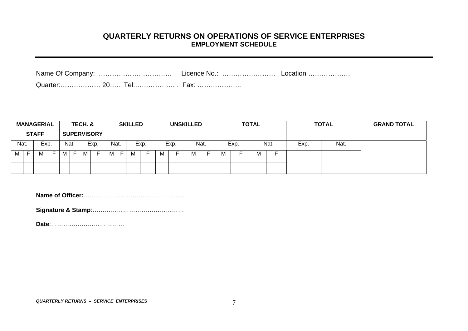#### **QUARTERLY RETURNS ON OPERATIONS OF SERVICE ENTERPRISES EMPLOYMENT SCHEDULE**

|  | Quarter: 20 Tel: Fax: |  |
|--|-----------------------|--|

|      |    | <b>MANAGERIAL</b><br><b>STAFF</b> |                               |      |   | TECH. & | <b>SUPERVISORY</b> |      | <b>SKILLED</b> |      |   | <b>UNSKILLED</b> |   |      |     | <b>TOTAL</b><br><b>TOTAL</b> |   |      | <b>GRAND TOTAL</b> |      |  |
|------|----|-----------------------------------|-------------------------------|------|---|---------|--------------------|------|----------------|------|---|------------------|---|------|-----|------------------------------|---|------|--------------------|------|--|
| Nat. |    | Exp.                              |                               | Nat. |   |         | Exp.               | Nat. |                | Exp. |   | Exp.             |   | Nat. |     | Exp.                         |   | Nat. | Exp.               | Nat. |  |
| M    | E. | M                                 | $\overline{\phantom{0}}$<br>- | M    | Е | M       |                    | M    | M              |      | м |                  | M |      | IVI |                              | М |      |                    |      |  |
|      |    |                                   |                               |      |   |         |                    |      |                |      |   |                  |   |      |     |                              |   |      |                    |      |  |

**Name of Officer:**…………………………………………..

**Signature & Stamp**:………………………………………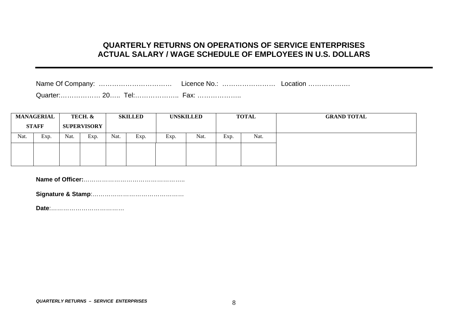#### **QUARTERLY RETURNS ON OPERATIONS OF SERVICE ENTERPRISES ACTUAL SALARY / WAGE SCHEDULE OF EMPLOYEES IN U.S. DOLLARS**

| Name Of Company: | Licence No.: | Location |
|------------------|--------------|----------|
|------------------|--------------|----------|

Quarter:……………… 20….. Tel:……………….. Fax: ………………..

|      | <b>MANAGERIAL</b><br>TECH. &       |      |                                  | <b>SKILLED</b> |      | <b>UNSKILLED</b> |      |      | <b>TOTAL</b> | <b>GRAND TOTAL</b> |
|------|------------------------------------|------|----------------------------------|----------------|------|------------------|------|------|--------------|--------------------|
|      | <b>STAFF</b><br><b>SUPERVISORY</b> |      |                                  |                |      |                  |      |      |              |                    |
| Nat. | Exp.                               | Nat. | $\overline{\phantom{a}}$<br>Exp. | Nat.           | Exp. | Exp.             | Nat. | Exp. | Nat.         |                    |
|      |                                    |      |                                  |                |      |                  |      |      |              |                    |
|      |                                    |      |                                  |                |      |                  |      |      |              |                    |

**Name of Officer:**…………………………………………..

**Signature & Stamp**:………………………………………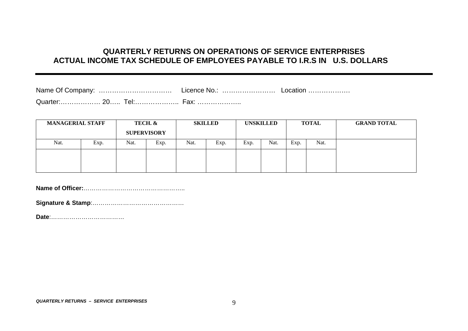## **QUARTERLY RETURNS ON OPERATIONS OF SERVICE ENTERPRISES ACTUAL INCOME TAX SCHEDULE OF EMPLOYEES PAYABLE TO I.R.S IN U.S. DOLLARS**

| Name Of Company:             | Licence No.:           | Location |
|------------------------------|------------------------|----------|
| Quarter: 20<br><u> I el:</u> | $\vdash$ $\cap$ $\vee$ |          |

| <b>MANAGERIAL STAFF</b> |      | TECH. &<br><b>SUPERVISORY</b> |      | <b>SKILLED</b> |      | <b>UNSKILLED</b> |      | <b>TOTAL</b> |      | <b>GRAND TOTAL</b> |
|-------------------------|------|-------------------------------|------|----------------|------|------------------|------|--------------|------|--------------------|
| Nat.                    | Exp. | Nat.                          | Exp. | Nat.           | Exp. | Exp.             | Nat. | Exp.         | Nat. |                    |
|                         |      |                               |      |                |      |                  |      |              |      |                    |
|                         |      |                               |      |                |      |                  |      |              |      |                    |

**Name of Officer:**…………………………………………..

**Signature & Stamp**:………………………………………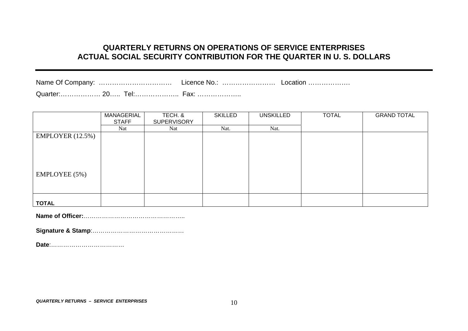# **QUARTERLY RETURNS ON OPERATIONS OF SERVICE ENTERPRISES ACTUAL SOCIAL SECURITY CONTRIBUTION FOR THE QUARTER IN U. S. DOLLARS**

|--|--|--|

Quarter:……………… 20….. Tel:……………….. Fax: ………………..

|                  | MANAGERIAL   | TECH. &            | <b>SKILLED</b> | <b>UNSKILLED</b> | <b>TOTAL</b> | <b>GRAND TOTAL</b> |
|------------------|--------------|--------------------|----------------|------------------|--------------|--------------------|
|                  | <b>STAFF</b> | <b>SUPERVISORY</b> |                |                  |              |                    |
|                  | Nat          | Nat                | Nat.           | Nat.             |              |                    |
| EMPLOYER (12.5%) |              |                    |                |                  |              |                    |
|                  |              |                    |                |                  |              |                    |
|                  |              |                    |                |                  |              |                    |
|                  |              |                    |                |                  |              |                    |
|                  |              |                    |                |                  |              |                    |
|                  |              |                    |                |                  |              |                    |
| EMPLOYEE (5%)    |              |                    |                |                  |              |                    |
|                  |              |                    |                |                  |              |                    |
|                  |              |                    |                |                  |              |                    |
|                  |              |                    |                |                  |              |                    |
| <b>TOTAL</b>     |              |                    |                |                  |              |                    |

**Name of Officer:**…………………………………………..

**Signature & Stamp**:………………………………………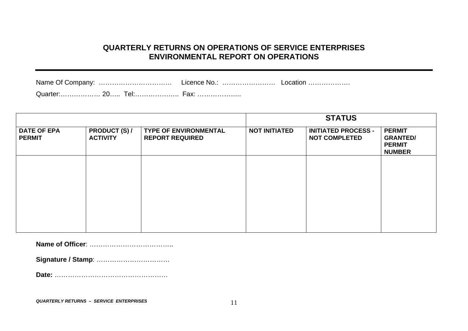# **QUARTERLY RETURNS ON OPERATIONS OF SERVICE ENTERPRISES ENVIRONMENTAL REPORT ON OPERATIONS**

| Name Of Company: | Licence No.: | ∟ocation ……………… |
|------------------|--------------|-----------------|
|                  |              |                 |

Quarter:……………… 20….. Tel:……………….. Fax: ………………..

|                                     |                                         |                                                        |                      | <b>STATUS</b>                                      |                                                                    |
|-------------------------------------|-----------------------------------------|--------------------------------------------------------|----------------------|----------------------------------------------------|--------------------------------------------------------------------|
| <b>DATE OF EPA</b><br><b>PERMIT</b> | <b>PRODUCT (S) /</b><br><b>ACTIVITY</b> | <b>TYPE OF ENVIRONMENTAL</b><br><b>REPORT REQUIRED</b> | <b>NOT INITIATED</b> | <b>INITIATED PROCESS -</b><br><b>NOT COMPLETED</b> | <b>PERMIT</b><br><b>GRANTED/</b><br><b>PERMIT</b><br><b>NUMBER</b> |
|                                     |                                         |                                                        |                      |                                                    |                                                                    |
|                                     |                                         |                                                        |                      |                                                    |                                                                    |
|                                     |                                         |                                                        |                      |                                                    |                                                                    |

**Name of Officer**: ………………………………..

**Signature / Stamp**: ……………………………

**Date:** ……………………………………………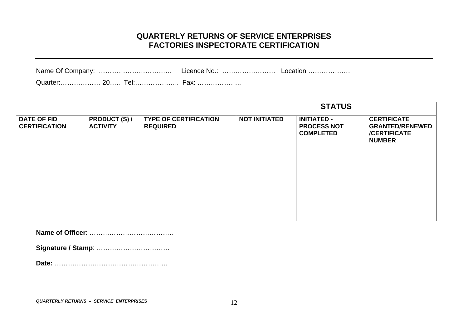## **QUARTERLY RETURNS OF SERVICE ENTERPRISES FACTORIES INSPECTORATE CERTIFICATION**

| Name Of Company:                          |  | Licence No.: | Location |
|-------------------------------------------|--|--------------|----------|
| $\bigcap_{x \in \mathbb{R}} \mathbb{R}^n$ |  | -----        |          |

Quarter:……………… 20….. Tel:……………….. Fax: ………………..

|                                            |                                         |                                                 |                      | <b>STATUS</b>                                                |                                                                                      |
|--------------------------------------------|-----------------------------------------|-------------------------------------------------|----------------------|--------------------------------------------------------------|--------------------------------------------------------------------------------------|
| <b>DATE OF FID</b><br><b>CERTIFICATION</b> | <b>PRODUCT (S) /</b><br><b>ACTIVITY</b> | <b>TYPE OF CERTIFICATION</b><br><b>REQUIRED</b> | <b>NOT INITIATED</b> | <b>INITIATED -</b><br><b>PROCESS NOT</b><br><b>COMPLETED</b> | <b>CERTIFICATE</b><br><b>GRANTED/RENEWED</b><br><b>/CERTIFICATE</b><br><b>NUMBER</b> |
|                                            |                                         |                                                 |                      |                                                              |                                                                                      |
|                                            |                                         |                                                 |                      |                                                              |                                                                                      |
|                                            |                                         |                                                 |                      |                                                              |                                                                                      |
|                                            |                                         |                                                 |                      |                                                              |                                                                                      |

**Name of Officer**: ………………………………..

**Signature / Stamp**: ……………………………

**Date:** ……………………………………………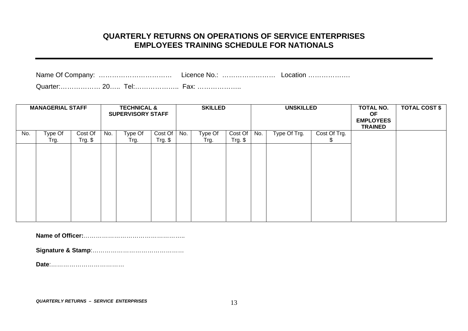## **QUARTERLY RETURNS ON OPERATIONS OF SERVICE ENTERPRISES EMPLOYEES TRAINING SCHEDULE FOR NATIONALS**

Quarter:……………… 20….. Tel:……………….. Fax: ………………..

|     | <b>MANAGERIAL STAFF</b> |                      |     | <b>TECHNICAL &amp;</b><br><b>SUPERVISORY STAFF</b> |                      |     | <b>SKILLED</b>  |                      | <b>UNSKILLED</b> |              |              | <b>TOTAL NO.</b><br><b>OF</b><br><b>EMPLOYEES</b><br><b>TRAINED</b> | <b>TOTAL COST \$</b> |
|-----|-------------------------|----------------------|-----|----------------------------------------------------|----------------------|-----|-----------------|----------------------|------------------|--------------|--------------|---------------------------------------------------------------------|----------------------|
| No. | Type Of                 | Cost Of<br>$Trg.$ \$ | No. | Type Of                                            | Cost Of<br>$Trg.$ \$ | No. | Type Of<br>Trg. | Cost Of<br>$Trg.$ \$ | No.              | Type Of Trg. | Cost Of Trg. |                                                                     |                      |
|     | Trg.                    |                      |     | Trg.                                               |                      |     |                 |                      |                  |              | Æ            |                                                                     |                      |
|     |                         |                      |     |                                                    |                      |     |                 |                      |                  |              |              |                                                                     |                      |
|     |                         |                      |     |                                                    |                      |     |                 |                      |                  |              |              |                                                                     |                      |
|     |                         |                      |     |                                                    |                      |     |                 |                      |                  |              |              |                                                                     |                      |
|     |                         |                      |     |                                                    |                      |     |                 |                      |                  |              |              |                                                                     |                      |
|     |                         |                      |     |                                                    |                      |     |                 |                      |                  |              |              |                                                                     |                      |
|     |                         |                      |     |                                                    |                      |     |                 |                      |                  |              |              |                                                                     |                      |
|     |                         |                      |     |                                                    |                      |     |                 |                      |                  |              |              |                                                                     |                      |
|     |                         |                      |     |                                                    |                      |     |                 |                      |                  |              |              |                                                                     |                      |

**Name of Officer:**…………………………………………..

**Signature & Stamp**:………………………………………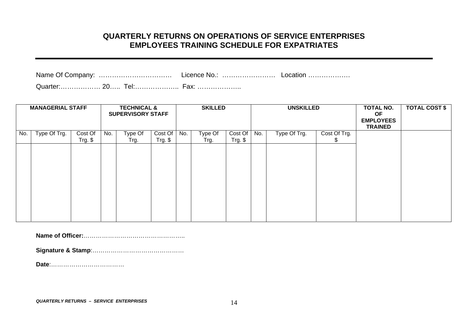## **QUARTERLY RETURNS ON OPERATIONS OF SERVICE ENTERPRISES EMPLOYEES TRAINING SCHEDULE FOR EXPATRIATES**

Quarter:……………… 20….. Tel:……………….. Fax: ………………..

|     | <b>MANAGERIAL STAFF</b> |           |     | <b>TECHNICAL &amp;</b><br><b>SUPERVISORY STAFF</b> |            |     | <b>SKILLED</b> |           | <b>UNSKILLED</b> |              | TOTAL NO.<br><b>OF</b><br><b>EMPLOYEES</b><br><b>TRAINED</b> | <b>TOTAL COST \$</b> |  |
|-----|-------------------------|-----------|-----|----------------------------------------------------|------------|-----|----------------|-----------|------------------|--------------|--------------------------------------------------------------|----------------------|--|
| No. | Type Of Trg.            | Cost Of   | No. | Type Of                                            | Cost Of    | No. | Type Of        | Cost Of   | No.              | Type Of Trg. | Cost Of Trg.                                                 |                      |  |
|     |                         | $Trg.$ \$ |     | Trg.                                               | $Trg.$ $$$ |     | Trg.           | $Trg.$ \$ |                  |              | P.                                                           |                      |  |
|     |                         |           |     |                                                    |            |     |                |           |                  |              |                                                              |                      |  |
|     |                         |           |     |                                                    |            |     |                |           |                  |              |                                                              |                      |  |
|     |                         |           |     |                                                    |            |     |                |           |                  |              |                                                              |                      |  |
|     |                         |           |     |                                                    |            |     |                |           |                  |              |                                                              |                      |  |
|     |                         |           |     |                                                    |            |     |                |           |                  |              |                                                              |                      |  |
|     |                         |           |     |                                                    |            |     |                |           |                  |              |                                                              |                      |  |
|     |                         |           |     |                                                    |            |     |                |           |                  |              |                                                              |                      |  |
|     |                         |           |     |                                                    |            |     |                |           |                  |              |                                                              |                      |  |
|     |                         |           |     |                                                    |            |     |                |           |                  |              |                                                              |                      |  |

**Name of Officer:**…………………………………………..

**Signature & Stamp**:………………………………………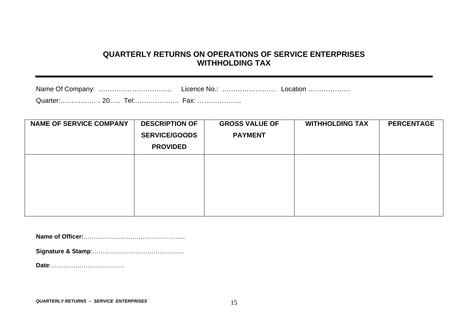# **QUARTERLY RETURNS ON OPERATIONS OF SERVICE ENTERPRISES WITHHOLDING TAX**

| <b>NAME OF SERVICE COMPANY</b> | <b>DESCRIPTION OF</b><br><b>SERVICE/GOODS</b><br><b>PROVIDED</b> | <b>GROSS VALUE OF</b><br><b>PAYMENT</b> | <b>WITHHOLDING TAX</b> | <b>PERCENTAGE</b> |
|--------------------------------|------------------------------------------------------------------|-----------------------------------------|------------------------|-------------------|
|                                |                                                                  |                                         |                        |                   |

**Name of Officer:**…………………………………………..

**Signature & Stamp**:………………………………………